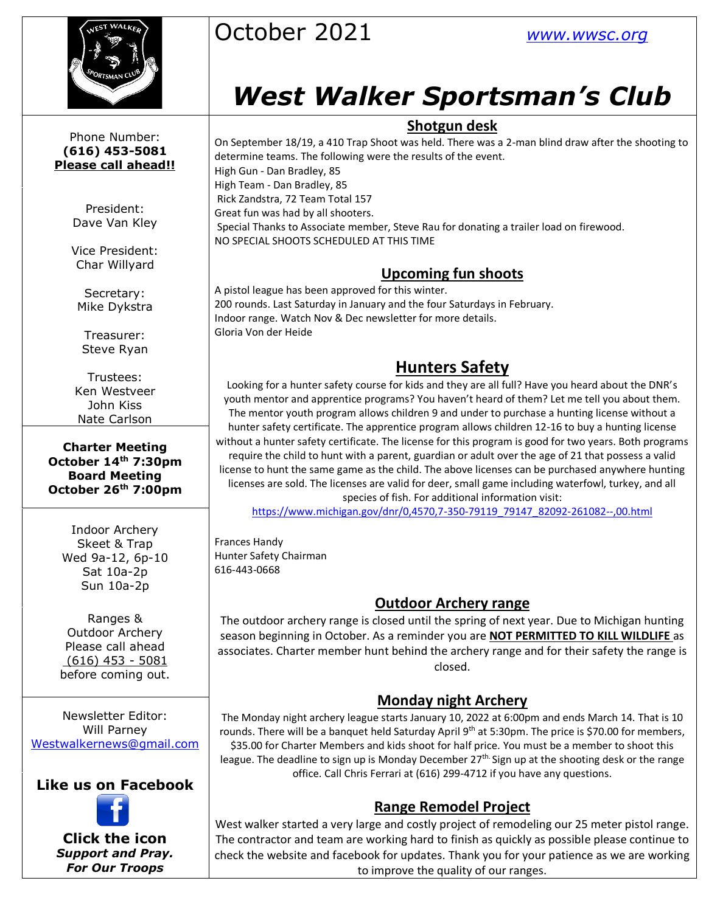

Phone Number: **(616) 453-5081 Please call ahead!!**

> President: Dave Van Kley

Vice President: Char Willyard

Secretary: Mike Dykstra

Treasurer: Steve Ryan

Trustees: Ken Westveer John Kiss Nate Carlson

**Charter Meeting October 14th 7:30pm Board Meeting October 26 th 7:00pm**

Indoor Archery Skeet & Trap Wed 9a-12, 6p-10 Sat 10a-2p Sun 10a-2p

Ranges & Outdoor Archery Please call ahead (616) 453 - 5081 before coming out.

Newsletter Editor: Will Parney [Westwalkernews@gmail.com](mailto:Westwalkernews@gmail.com)

## **Like us on Facebook**



**Click [the](http://commons.wikimedia.org/wiki/file:facebook_shiny_icon.svg) icon** *Suppo[rt an](http://commons.wikimedia.org/wiki/file:facebook_shiny_icon.svg)d Pray. For O[ur](http://commons.wikimedia.org/wiki/file:facebook_shiny_icon.svg) Troops*



# *West Walker Sportsman's Club*

#### **Shotgun desk**

On September 18/19, a 410 Trap Shoot was held. There was a 2-man blind draw after the shooting to determine teams. The following were the results of the event. High Gun - Dan Bradley, 85 High Team - Dan Bradley, 85 Rick Zandstra, 72 Team Total 157 Great fun was had by all shooters. Special Thanks to Associate member, Steve Rau for donating a trailer load on firewood. NO SPECIAL SHOOTS SCHEDULED AT THIS TIME

## **Upcoming fun shoots**

A pistol league has been approved for this winter. 200 rounds. Last Saturday in January and the four Saturdays in February. Indoor range. Watch Nov & Dec newsletter for more details. Gloria Von der Heide

# **Hunters Safety**

Looking for a hunter safety course for kids and they are all full? Have you heard about the DNR's youth mentor and apprentice programs? You haven't heard of them? Let me tell you about them. The mentor youth program allows children 9 and under to purchase a hunting license without a hunter safety certificate. The apprentice program allows children 12-16 to buy a hunting license without a hunter safety certificate. The license for this program is good for two years. Both programs require the child to hunt with a parent, guardian or adult over the age of 21 that possess a valid license to hunt the same game as the child. The above licenses can be purchased anywhere hunting licenses are sold. The licenses are valid for deer, small game including waterfowl, turkey, and all species of fish. For additional information visit:

[https://www.michigan.gov/dnr/0,4570,7-350-79119\\_79147\\_82092-261082--,00.html](https://www.michigan.gov/dnr/0,4570,7-350-79119_79147_82092-261082--,00.html)

Frances Handy Hunter Safety Chairman 616-443-0668

## **Outdoor Archery range**

The outdoor archery range is closed until the spring of next year. Due to Michigan hunting season beginning in October. As a reminder you are **NOT PERMITTED TO KILL WILDLIFE** as associates. Charter member hunt behind the archery range and for their safety the range is closed.

#### **Monday night Archery**

The Monday night archery league starts January 10, 2022 at 6:00pm and ends March 14. That is 10 rounds. There will be a banquet held Saturday April 9<sup>th</sup> at 5:30pm. The price is \$70.00 for members, \$35.00 for Charter Members and kids shoot for half price. You must be a member to shoot this league. The deadline to sign up is Monday December 27<sup>th.</sup> Sign up at the shooting desk or the range office. Call Chris Ferrari at (616) 299-4712 if you have any questions.

#### **Range Remodel Project**

West walker started a very large and costly project of remodeling our 25 meter pistol range. The contractor and team are working hard to finish as quickly as possible please continue to check the website and facebook for updates. Thank you for your patience as we are working to improve the quality of our ranges.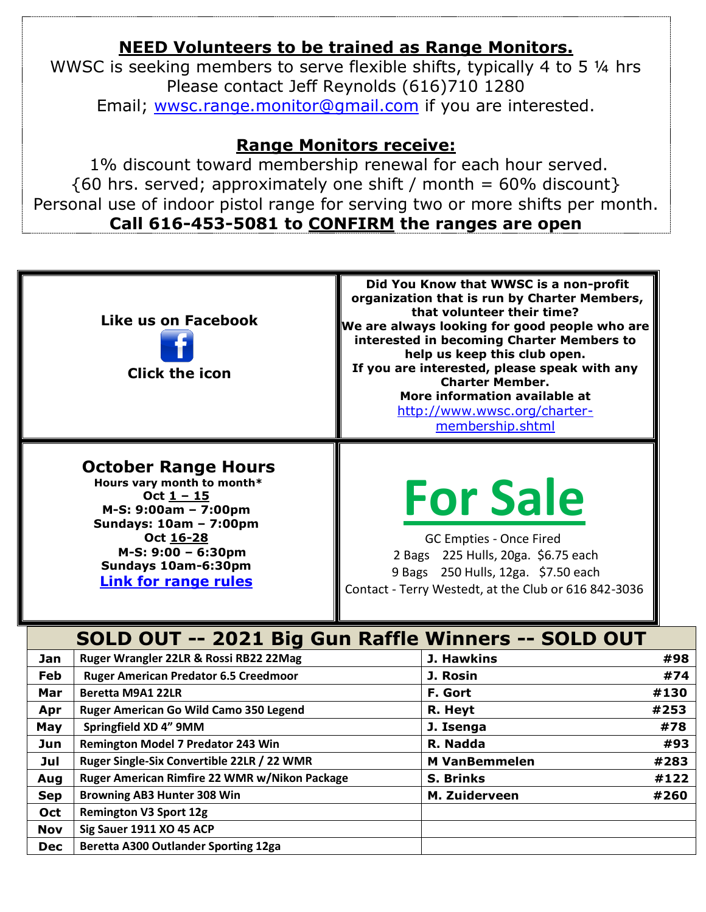# **NEED Volunteers to be trained as Range Monitors.**

WWSC is seeking members to serve flexible shifts, typically 4 to 5 ¼ hrs Please contact Jeff Reynolds (616)710 1280 Email; [wwsc.range.monitor@gmail.com](mailto:wwsc.range.monitor@gmail.com) if you are interested.

## **Range Monitors receive:**

1% discount toward membership renewal for each hour served.  $\{60 \text{ hrs. served}$ ; approximately one shift / month = 60% discount } Personal use of indoor pistol range for serving two or more shifts per month. **Call 616-453-5081 to CONFIRM the ranges are open**